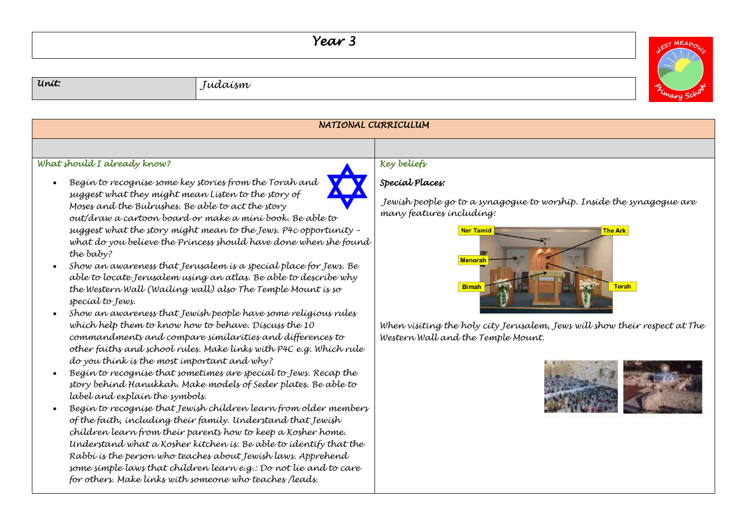## *Year 3*



WEST MEADOW

| NATIONAL CURRICULUM                                                                                                                                                                                                                                                                                                                                                                                                                                                                                                                                                                                                                                                                                                                                                                                                                                                                                                                                                                                                           |                                                                                                                                                                                                                                                                                                                                         |  |
|-------------------------------------------------------------------------------------------------------------------------------------------------------------------------------------------------------------------------------------------------------------------------------------------------------------------------------------------------------------------------------------------------------------------------------------------------------------------------------------------------------------------------------------------------------------------------------------------------------------------------------------------------------------------------------------------------------------------------------------------------------------------------------------------------------------------------------------------------------------------------------------------------------------------------------------------------------------------------------------------------------------------------------|-----------------------------------------------------------------------------------------------------------------------------------------------------------------------------------------------------------------------------------------------------------------------------------------------------------------------------------------|--|
| What should I already know?<br>Begin to recognise some key stories from the Torah and<br>suggest what they might mean Listen to the story of<br>Moses and the Bulrushes. Be able to act the story<br>out/draw a cartoon board or make a mini book. Be able to<br>suggest what the story might mean to the Jews. P4c opportunity -<br>what do you believe the Princess should have done when she found<br>the baby?<br>Show an awareness that Jerusalem is a special place for Jews. Be<br>able to locate Jerusalem using an atlas. Be able to describe why<br>the Western Wall (Wailing wall) also The Temple Mount is so<br>special to Jews.<br>Show an awareness that Jewish people have some religious rules<br>which help them to know how to behave. Discuss the 10<br>commandments and compare similarities and differences to<br>other faiths and school rules. Make links with P4C e.g. Which rule<br>do you think is the most important and why?<br>Begin to recognise that sometimes are special to Jews. Recap the | Key beliefs<br>Special Places:<br>Jewish people go to a synagogue to worship. Inside the synagogue are<br>many features including:<br><b>Ner Tamid</b><br><b>The Ark</b><br>Menorah<br><b>Torah</b><br><b>Bimah</b><br>When visiting the holy city Jerusalem, Jews will show their respect at The<br>Western Wall and the Temple Mount. |  |
| story behind Hanukkah. Make models of Seder plates. Be able to<br>label and explain the symbols.<br>Begin to recognise that Jewish children learn from older members<br>of the faith, including their family. Understand that Jewish<br>children learn from their parents how to keep a Kosher home.<br>Understand what a Kosher kitchen is. Be able to identify that the<br>Rabbi is the person who teaches about Jewish laws. Apprehend<br>some simple laws that children learn e.g.: Do not lie and to care<br>for others. Make links with someone who teaches /leads.                                                                                                                                                                                                                                                                                                                                                                                                                                                     |                                                                                                                                                                                                                                                                                                                                         |  |